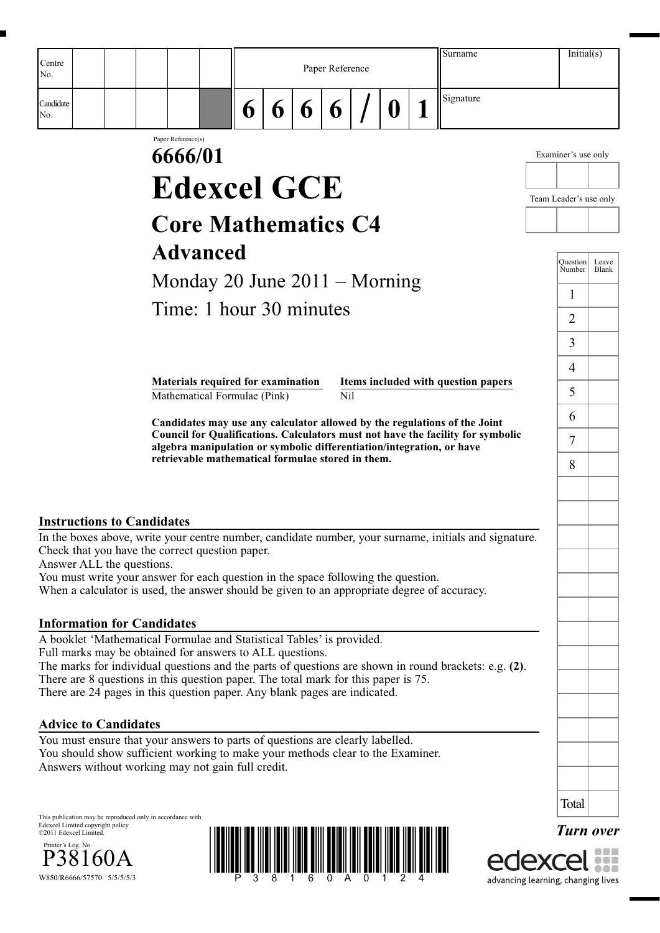| Centre                                                      | Initial(s)<br>Surname<br>Paper Reference<br>Signature<br>6<br>6<br>6<br>6<br>$\boldsymbol{0}$<br>Paper Reference(s)<br>6666/01<br>Examiner's use only<br><b>Edexcel GCE</b><br>Team Leader's use only<br><b>Core Mathematics C4</b><br><b>Advanced</b><br>Ouestion<br>Leave<br>Number<br>Blank<br>Monday 20 June $2011 -$ Morning<br>1<br>Time: 1 hour 30 minutes<br>$\overline{2}$<br>3<br>$\overline{4}$<br>Materials required for examination<br>Items included with question papers<br>5<br>Nil<br>Mathematical Formulae (Pink)<br>6<br>Candidates may use any calculator allowed by the regulations of the Joint<br>Council for Qualifications. Calculators must not have the facility for symbolic<br>$\overline{7}$<br>algebra manipulation or symbolic differentiation/integration, or have<br>retrievable mathematical formulae stored in them.<br>8<br><b>Instructions to Candidates</b><br>In the boxes above, write your centre number, candidate number, your surname, initials and signature.<br>Check that you have the correct question paper.<br>Answer ALL the questions.<br>You must write your answer for each question in the space following the question.<br>When a calculator is used, the answer should be given to an appropriate degree of accuracy.<br><b>Information for Candidates</b><br>A booklet 'Mathematical Formulae and Statistical Tables' is provided.<br>Full marks may be obtained for answers to ALL questions.<br>The marks for individual questions and the parts of questions are shown in round brackets: e.g. (2).<br>There are 8 questions in this question paper. The total mark for this paper is 75.<br>There are 24 pages in this question paper. Any blank pages are indicated.<br><b>Advice to Candidates</b><br>You must ensure that your answers to parts of questions are clearly labelled.<br>You should show sufficient working to make your methods clear to the Examiner.<br>Answers without working may not gain full credit.<br>Total<br>This publication may be reproduced only in accordance with<br><b>Turn over</b> |  |  |  |  |                                    |  |  |
|-------------------------------------------------------------|----------------------------------------------------------------------------------------------------------------------------------------------------------------------------------------------------------------------------------------------------------------------------------------------------------------------------------------------------------------------------------------------------------------------------------------------------------------------------------------------------------------------------------------------------------------------------------------------------------------------------------------------------------------------------------------------------------------------------------------------------------------------------------------------------------------------------------------------------------------------------------------------------------------------------------------------------------------------------------------------------------------------------------------------------------------------------------------------------------------------------------------------------------------------------------------------------------------------------------------------------------------------------------------------------------------------------------------------------------------------------------------------------------------------------------------------------------------------------------------------------------------------------------------------------------------------------------------------------------------------------------------------------------------------------------------------------------------------------------------------------------------------------------------------------------------------------------------------------------------------------------------------------------------------------------------------------------------------------------------------------------------------------------------------------------------------------------------|--|--|--|--|------------------------------------|--|--|
| No.<br>Candidate<br>No.                                     |                                                                                                                                                                                                                                                                                                                                                                                                                                                                                                                                                                                                                                                                                                                                                                                                                                                                                                                                                                                                                                                                                                                                                                                                                                                                                                                                                                                                                                                                                                                                                                                                                                                                                                                                                                                                                                                                                                                                                                                                                                                                                        |  |  |  |  |                                    |  |  |
|                                                             |                                                                                                                                                                                                                                                                                                                                                                                                                                                                                                                                                                                                                                                                                                                                                                                                                                                                                                                                                                                                                                                                                                                                                                                                                                                                                                                                                                                                                                                                                                                                                                                                                                                                                                                                                                                                                                                                                                                                                                                                                                                                                        |  |  |  |  |                                    |  |  |
|                                                             |                                                                                                                                                                                                                                                                                                                                                                                                                                                                                                                                                                                                                                                                                                                                                                                                                                                                                                                                                                                                                                                                                                                                                                                                                                                                                                                                                                                                                                                                                                                                                                                                                                                                                                                                                                                                                                                                                                                                                                                                                                                                                        |  |  |  |  |                                    |  |  |
|                                                             |                                                                                                                                                                                                                                                                                                                                                                                                                                                                                                                                                                                                                                                                                                                                                                                                                                                                                                                                                                                                                                                                                                                                                                                                                                                                                                                                                                                                                                                                                                                                                                                                                                                                                                                                                                                                                                                                                                                                                                                                                                                                                        |  |  |  |  |                                    |  |  |
|                                                             |                                                                                                                                                                                                                                                                                                                                                                                                                                                                                                                                                                                                                                                                                                                                                                                                                                                                                                                                                                                                                                                                                                                                                                                                                                                                                                                                                                                                                                                                                                                                                                                                                                                                                                                                                                                                                                                                                                                                                                                                                                                                                        |  |  |  |  |                                    |  |  |
|                                                             |                                                                                                                                                                                                                                                                                                                                                                                                                                                                                                                                                                                                                                                                                                                                                                                                                                                                                                                                                                                                                                                                                                                                                                                                                                                                                                                                                                                                                                                                                                                                                                                                                                                                                                                                                                                                                                                                                                                                                                                                                                                                                        |  |  |  |  |                                    |  |  |
|                                                             |                                                                                                                                                                                                                                                                                                                                                                                                                                                                                                                                                                                                                                                                                                                                                                                                                                                                                                                                                                                                                                                                                                                                                                                                                                                                                                                                                                                                                                                                                                                                                                                                                                                                                                                                                                                                                                                                                                                                                                                                                                                                                        |  |  |  |  |                                    |  |  |
|                                                             |                                                                                                                                                                                                                                                                                                                                                                                                                                                                                                                                                                                                                                                                                                                                                                                                                                                                                                                                                                                                                                                                                                                                                                                                                                                                                                                                                                                                                                                                                                                                                                                                                                                                                                                                                                                                                                                                                                                                                                                                                                                                                        |  |  |  |  |                                    |  |  |
|                                                             |                                                                                                                                                                                                                                                                                                                                                                                                                                                                                                                                                                                                                                                                                                                                                                                                                                                                                                                                                                                                                                                                                                                                                                                                                                                                                                                                                                                                                                                                                                                                                                                                                                                                                                                                                                                                                                                                                                                                                                                                                                                                                        |  |  |  |  |                                    |  |  |
|                                                             |                                                                                                                                                                                                                                                                                                                                                                                                                                                                                                                                                                                                                                                                                                                                                                                                                                                                                                                                                                                                                                                                                                                                                                                                                                                                                                                                                                                                                                                                                                                                                                                                                                                                                                                                                                                                                                                                                                                                                                                                                                                                                        |  |  |  |  |                                    |  |  |
|                                                             |                                                                                                                                                                                                                                                                                                                                                                                                                                                                                                                                                                                                                                                                                                                                                                                                                                                                                                                                                                                                                                                                                                                                                                                                                                                                                                                                                                                                                                                                                                                                                                                                                                                                                                                                                                                                                                                                                                                                                                                                                                                                                        |  |  |  |  |                                    |  |  |
|                                                             |                                                                                                                                                                                                                                                                                                                                                                                                                                                                                                                                                                                                                                                                                                                                                                                                                                                                                                                                                                                                                                                                                                                                                                                                                                                                                                                                                                                                                                                                                                                                                                                                                                                                                                                                                                                                                                                                                                                                                                                                                                                                                        |  |  |  |  |                                    |  |  |
|                                                             |                                                                                                                                                                                                                                                                                                                                                                                                                                                                                                                                                                                                                                                                                                                                                                                                                                                                                                                                                                                                                                                                                                                                                                                                                                                                                                                                                                                                                                                                                                                                                                                                                                                                                                                                                                                                                                                                                                                                                                                                                                                                                        |  |  |  |  |                                    |  |  |
|                                                             |                                                                                                                                                                                                                                                                                                                                                                                                                                                                                                                                                                                                                                                                                                                                                                                                                                                                                                                                                                                                                                                                                                                                                                                                                                                                                                                                                                                                                                                                                                                                                                                                                                                                                                                                                                                                                                                                                                                                                                                                                                                                                        |  |  |  |  |                                    |  |  |
|                                                             |                                                                                                                                                                                                                                                                                                                                                                                                                                                                                                                                                                                                                                                                                                                                                                                                                                                                                                                                                                                                                                                                                                                                                                                                                                                                                                                                                                                                                                                                                                                                                                                                                                                                                                                                                                                                                                                                                                                                                                                                                                                                                        |  |  |  |  |                                    |  |  |
|                                                             |                                                                                                                                                                                                                                                                                                                                                                                                                                                                                                                                                                                                                                                                                                                                                                                                                                                                                                                                                                                                                                                                                                                                                                                                                                                                                                                                                                                                                                                                                                                                                                                                                                                                                                                                                                                                                                                                                                                                                                                                                                                                                        |  |  |  |  |                                    |  |  |
|                                                             |                                                                                                                                                                                                                                                                                                                                                                                                                                                                                                                                                                                                                                                                                                                                                                                                                                                                                                                                                                                                                                                                                                                                                                                                                                                                                                                                                                                                                                                                                                                                                                                                                                                                                                                                                                                                                                                                                                                                                                                                                                                                                        |  |  |  |  |                                    |  |  |
|                                                             |                                                                                                                                                                                                                                                                                                                                                                                                                                                                                                                                                                                                                                                                                                                                                                                                                                                                                                                                                                                                                                                                                                                                                                                                                                                                                                                                                                                                                                                                                                                                                                                                                                                                                                                                                                                                                                                                                                                                                                                                                                                                                        |  |  |  |  |                                    |  |  |
|                                                             |                                                                                                                                                                                                                                                                                                                                                                                                                                                                                                                                                                                                                                                                                                                                                                                                                                                                                                                                                                                                                                                                                                                                                                                                                                                                                                                                                                                                                                                                                                                                                                                                                                                                                                                                                                                                                                                                                                                                                                                                                                                                                        |  |  |  |  |                                    |  |  |
|                                                             |                                                                                                                                                                                                                                                                                                                                                                                                                                                                                                                                                                                                                                                                                                                                                                                                                                                                                                                                                                                                                                                                                                                                                                                                                                                                                                                                                                                                                                                                                                                                                                                                                                                                                                                                                                                                                                                                                                                                                                                                                                                                                        |  |  |  |  |                                    |  |  |
|                                                             |                                                                                                                                                                                                                                                                                                                                                                                                                                                                                                                                                                                                                                                                                                                                                                                                                                                                                                                                                                                                                                                                                                                                                                                                                                                                                                                                                                                                                                                                                                                                                                                                                                                                                                                                                                                                                                                                                                                                                                                                                                                                                        |  |  |  |  |                                    |  |  |
|                                                             |                                                                                                                                                                                                                                                                                                                                                                                                                                                                                                                                                                                                                                                                                                                                                                                                                                                                                                                                                                                                                                                                                                                                                                                                                                                                                                                                                                                                                                                                                                                                                                                                                                                                                                                                                                                                                                                                                                                                                                                                                                                                                        |  |  |  |  |                                    |  |  |
|                                                             |                                                                                                                                                                                                                                                                                                                                                                                                                                                                                                                                                                                                                                                                                                                                                                                                                                                                                                                                                                                                                                                                                                                                                                                                                                                                                                                                                                                                                                                                                                                                                                                                                                                                                                                                                                                                                                                                                                                                                                                                                                                                                        |  |  |  |  |                                    |  |  |
|                                                             |                                                                                                                                                                                                                                                                                                                                                                                                                                                                                                                                                                                                                                                                                                                                                                                                                                                                                                                                                                                                                                                                                                                                                                                                                                                                                                                                                                                                                                                                                                                                                                                                                                                                                                                                                                                                                                                                                                                                                                                                                                                                                        |  |  |  |  |                                    |  |  |
|                                                             |                                                                                                                                                                                                                                                                                                                                                                                                                                                                                                                                                                                                                                                                                                                                                                                                                                                                                                                                                                                                                                                                                                                                                                                                                                                                                                                                                                                                                                                                                                                                                                                                                                                                                                                                                                                                                                                                                                                                                                                                                                                                                        |  |  |  |  |                                    |  |  |
|                                                             |                                                                                                                                                                                                                                                                                                                                                                                                                                                                                                                                                                                                                                                                                                                                                                                                                                                                                                                                                                                                                                                                                                                                                                                                                                                                                                                                                                                                                                                                                                                                                                                                                                                                                                                                                                                                                                                                                                                                                                                                                                                                                        |  |  |  |  |                                    |  |  |
| Edexcel Limited copyright policy.<br>©2011 Edexcel Limited. |                                                                                                                                                                                                                                                                                                                                                                                                                                                                                                                                                                                                                                                                                                                                                                                                                                                                                                                                                                                                                                                                                                                                                                                                                                                                                                                                                                                                                                                                                                                                                                                                                                                                                                                                                                                                                                                                                                                                                                                                                                                                                        |  |  |  |  |                                    |  |  |
| Printer's Log. No.                                          |                                                                                                                                                                                                                                                                                                                                                                                                                                                                                                                                                                                                                                                                                                                                                                                                                                                                                                                                                                                                                                                                                                                                                                                                                                                                                                                                                                                                                                                                                                                                                                                                                                                                                                                                                                                                                                                                                                                                                                                                                                                                                        |  |  |  |  |                                    |  |  |
| W850/R6666/57570 5/5/5/5/3                                  |                                                                                                                                                                                                                                                                                                                                                                                                                                                                                                                                                                                                                                                                                                                                                                                                                                                                                                                                                                                                                                                                                                                                                                                                                                                                                                                                                                                                                                                                                                                                                                                                                                                                                                                                                                                                                                                                                                                                                                                                                                                                                        |  |  |  |  | advancing learning, changing lives |  |  |

**CACVCCI** advancing learning, changing lives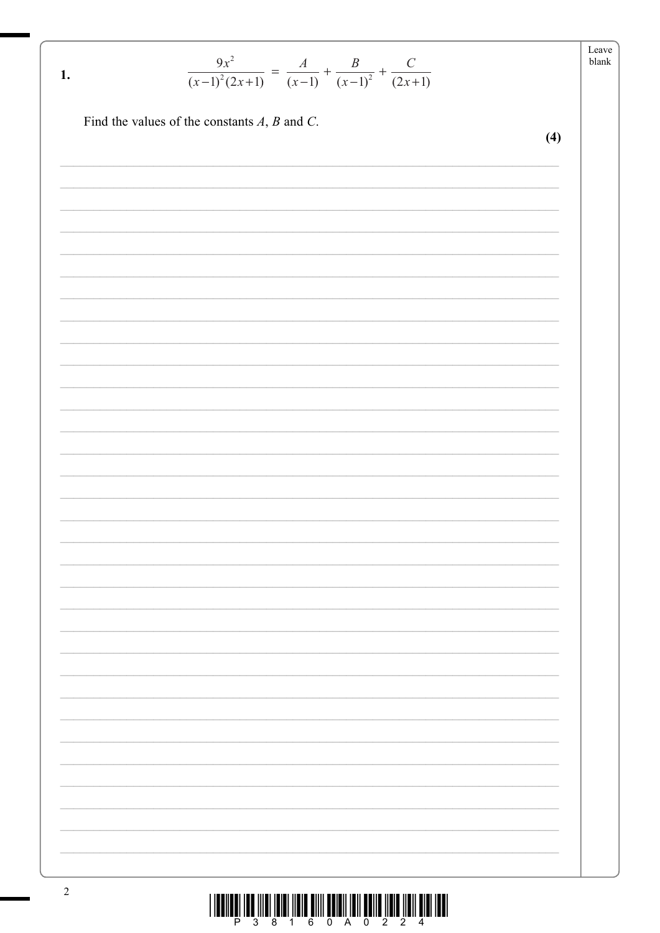| −a'   |
|-------|
| hlank |

|                                                                                    | $A$ $B$ $C$ |  |
|------------------------------------------------------------------------------------|-------------|--|
| $\frac{1}{(x-1)^2(2x+1)} = \frac{1}{(x-1)} + \frac{1}{(x-1)^2} + \frac{1}{(2x+1)}$ |             |  |

Find the values of the constants  $A$ ,  $B$  and  $C$ .

 $\mathbf{1}$ .

 $(4)$ 

|  |  |  | 38160A0224 |  |  |  |
|--|--|--|------------|--|--|--|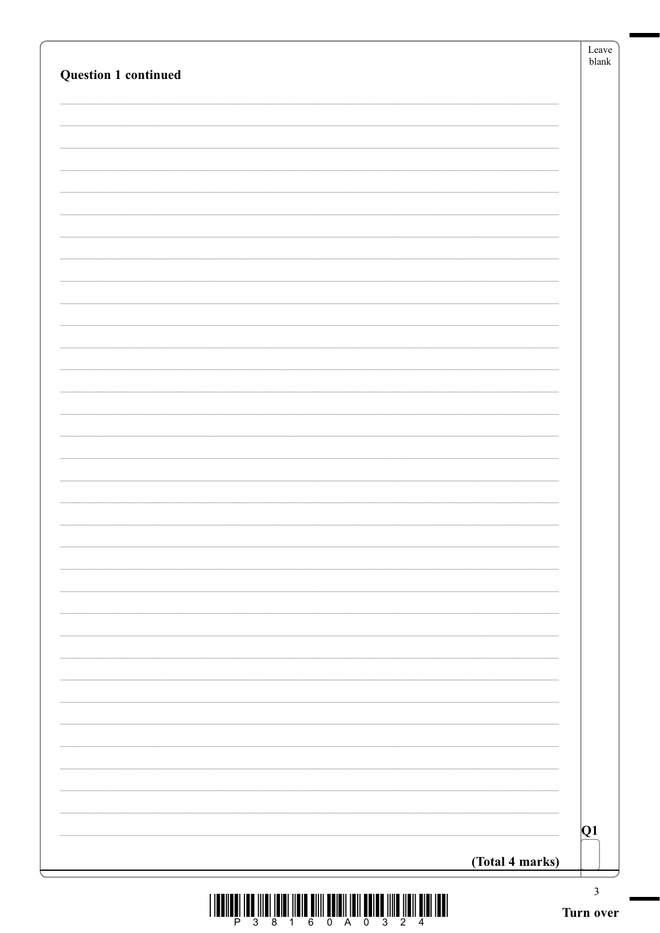| <b>Question 1 continued</b> |                 | Leave<br>$\ensuremath{\textrm{blank}}$ |
|-----------------------------|-----------------|----------------------------------------|
|                             |                 |                                        |
|                             |                 |                                        |
|                             |                 |                                        |
|                             |                 |                                        |
|                             |                 |                                        |
|                             |                 |                                        |
|                             |                 |                                        |
|                             |                 |                                        |
|                             |                 |                                        |
|                             |                 |                                        |
|                             |                 |                                        |
|                             |                 |                                        |
|                             |                 |                                        |
|                             |                 |                                        |
|                             |                 |                                        |
|                             |                 |                                        |
|                             |                 |                                        |
|                             |                 |                                        |
|                             |                 |                                        |
|                             |                 |                                        |
|                             |                 |                                        |
|                             |                 |                                        |
|                             |                 |                                        |
|                             |                 |                                        |
|                             |                 |                                        |
|                             |                 |                                        |
|                             |                 |                                        |
|                             |                 |                                        |
|                             |                 |                                        |
|                             |                 |                                        |
|                             |                 | Q1                                     |
|                             | (Total 4 marks) |                                        |

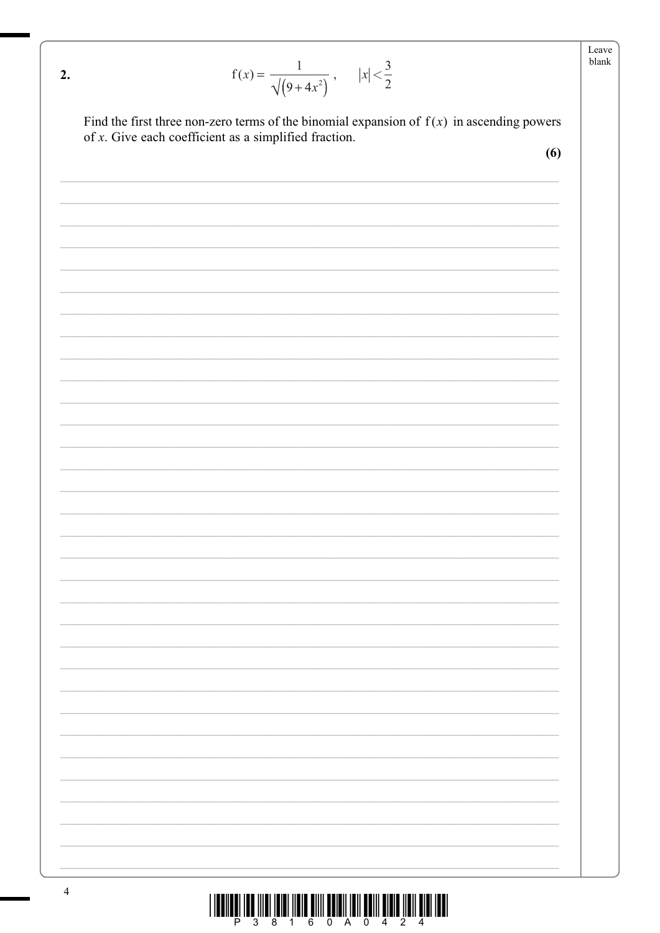| 2. | $f(x) = \frac{1}{\sqrt{(9+4x^2)}}$ , $ x  < \frac{3}{2}$                                                                                                | Leave<br>blank |
|----|---------------------------------------------------------------------------------------------------------------------------------------------------------|----------------|
|    |                                                                                                                                                         |                |
|    | Find the first three non-zero terms of the binomial expansion of $f(x)$ in ascending powers<br>of $x$ . Give each coefficient as a simplified fraction. |                |
|    | (6)                                                                                                                                                     |                |
|    |                                                                                                                                                         |                |
|    |                                                                                                                                                         |                |
|    |                                                                                                                                                         |                |
|    |                                                                                                                                                         |                |
|    |                                                                                                                                                         |                |
|    |                                                                                                                                                         |                |
|    |                                                                                                                                                         |                |
|    |                                                                                                                                                         |                |
|    |                                                                                                                                                         |                |
|    |                                                                                                                                                         |                |
|    |                                                                                                                                                         |                |
|    |                                                                                                                                                         |                |
|    |                                                                                                                                                         |                |
|    |                                                                                                                                                         |                |
|    |                                                                                                                                                         |                |
|    |                                                                                                                                                         |                |
|    |                                                                                                                                                         |                |
|    |                                                                                                                                                         |                |
|    |                                                                                                                                                         |                |
|    |                                                                                                                                                         |                |
|    |                                                                                                                                                         |                |
|    |                                                                                                                                                         |                |
|    |                                                                                                                                                         |                |
|    |                                                                                                                                                         |                |
|    |                                                                                                                                                         |                |
|    |                                                                                                                                                         |                |
|    |                                                                                                                                                         |                |
|    |                                                                                                                                                         |                |
|    |                                                                                                                                                         |                |
|    |                                                                                                                                                         |                |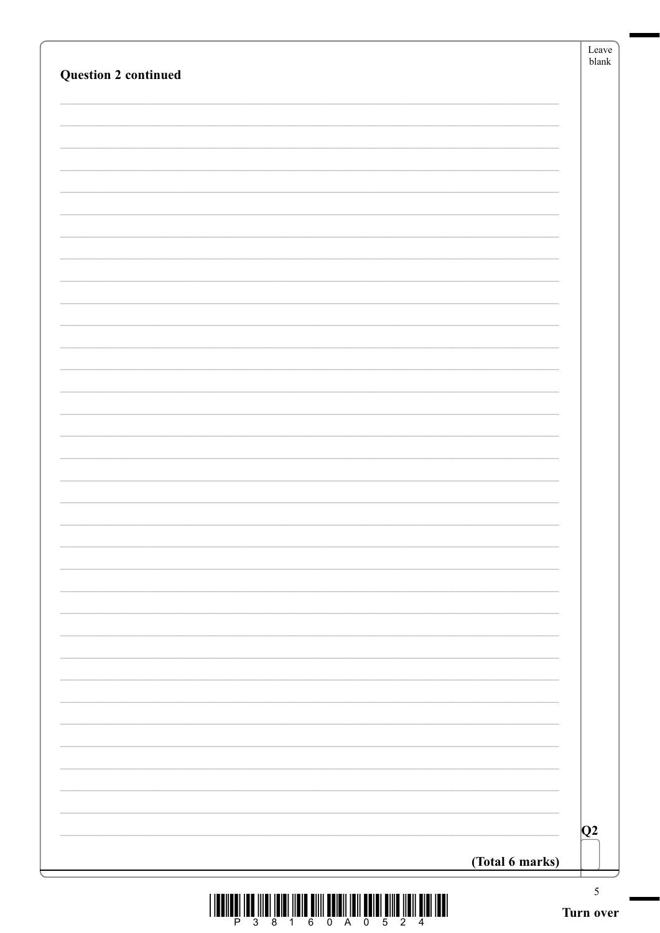| <b>Question 2 continued</b> | ${\rm Leave}$<br>$b$ lank |
|-----------------------------|---------------------------|
|                             |                           |
|                             |                           |
|                             |                           |
|                             |                           |
|                             |                           |
|                             |                           |
|                             |                           |
|                             |                           |
|                             |                           |
|                             |                           |
|                             |                           |
|                             |                           |
|                             |                           |
|                             |                           |
|                             |                           |
|                             |                           |
|                             |                           |
|                             |                           |
|                             |                           |
|                             |                           |
|                             |                           |
|                             |                           |
|                             |                           |
|                             |                           |
|                             |                           |
|                             |                           |
|                             |                           |
|                             |                           |
|                             |                           |
|                             |                           |
|                             | Q2                        |
|                             | (Total 6 marks)           |

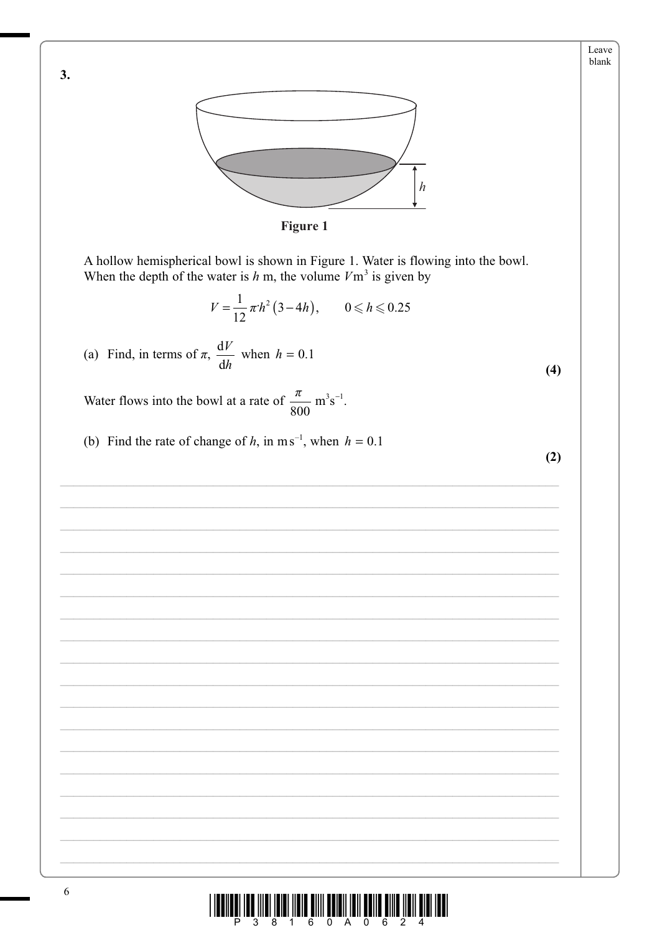

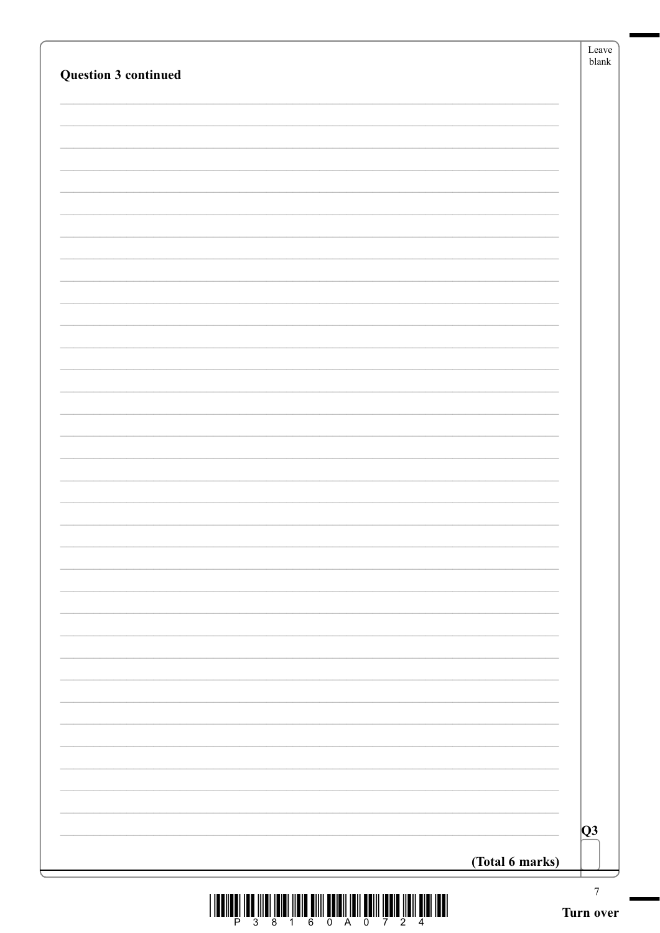| Question 3 continued |                 |
|----------------------|-----------------|
|                      |                 |
|                      |                 |
|                      |                 |
|                      |                 |
|                      |                 |
|                      |                 |
|                      |                 |
|                      |                 |
|                      |                 |
|                      |                 |
|                      |                 |
|                      |                 |
|                      |                 |
|                      |                 |
|                      |                 |
|                      |                 |
|                      |                 |
|                      |                 |
|                      | $\overline{Q}3$ |
|                      | (Total 6 marks) |

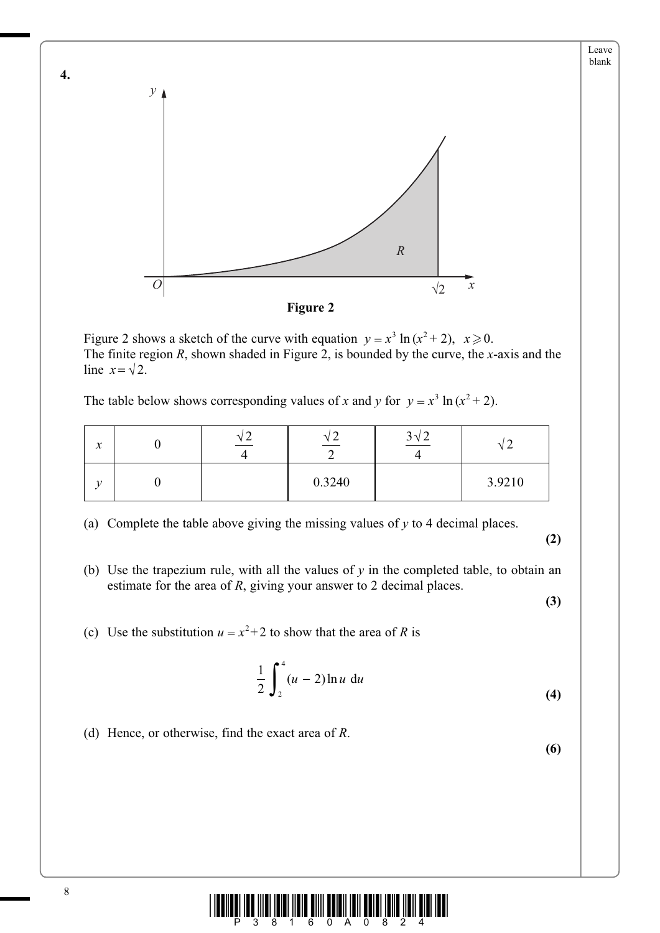

Figure 2 shows a sketch of the curve with equation  $y = x^3 \ln(x^2 + 2)$ ,  $x \ge 0$ . The finite region *R*, shown shaded in Figure 2, is bounded by the curve, the *x*-axis and the line  $x = \sqrt{2}$ .

The table below shows corresponding values of *x* and *y* for  $y = x^3 \ln(x^2 + 2)$ .

| $\mathcal{X}$ | $\mathbf \Lambda$<br>∽ | へ      | 2 <sub>1</sub><br>$J \vee L$ | ∸      |
|---------------|------------------------|--------|------------------------------|--------|
| $\mathbf{r}$  |                        | 0.3240 |                              | 3.9210 |

(a) Complete the table above giving the missing values of *y* to 4 decimal places.

**(2)**

Leave blank

(b) Use the trapezium rule, with all the values of  $y$  in the completed table, to obtain an estimate for the area of *R*, giving your answer to 2 decimal places.

**(3)**

**(6)**

(c) Use the substitution  $u = x^2 + 2$  to show that the area of *R* is

$$
\frac{1}{2} \int_{2}^{4} (u - 2) \ln u \, \mathrm{d}u \tag{4}
$$

(d) Hence, or otherwise, find the exact area of *R*.



**4.**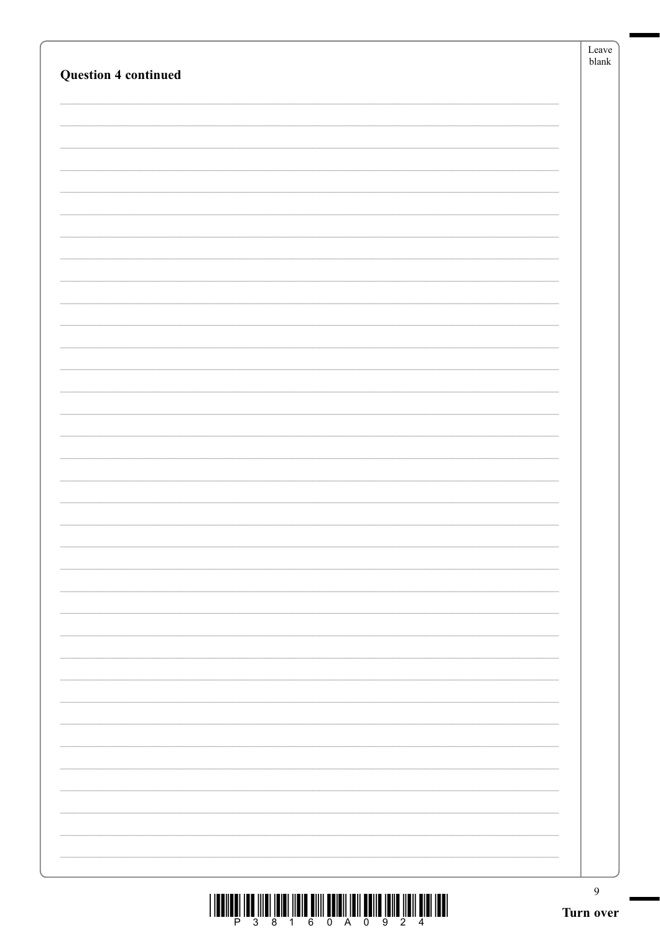| $\begin{array}{c} \text{if} \ \text{if} \ \text{if} \ \text{if} \ \text{if} \ \text{if} \ \text{if} \ \text{if} \ \text{if} \ \text{if} \ \text{if} \ \text{if} \ \text{if} \ \text{if} \ \text{if} \ \text{if} \ \text{if} \ \text{if} \ \text{if} \ \text{if} \ \text{if} \ \text{if} \ \text{if} \ \text{if} \ \text{if} \ \text{if} \ \text{if} \ \text{if} \ \text{if} \ \text{if} \ \text{if} \ \text{if} \ \text{if} \ \text{if} \ \text{if} \ \text{$ | $\overline{9}$<br>Turn over |
|---------------------------------------------------------------------------------------------------------------------------------------------------------------------------------------------------------------------------------------------------------------------------------------------------------------------------------------------------------------------------------------------------------------------------------------------------------------|-----------------------------|
|                                                                                                                                                                                                                                                                                                                                                                                                                                                               |                             |
|                                                                                                                                                                                                                                                                                                                                                                                                                                                               |                             |
|                                                                                                                                                                                                                                                                                                                                                                                                                                                               |                             |
|                                                                                                                                                                                                                                                                                                                                                                                                                                                               |                             |
|                                                                                                                                                                                                                                                                                                                                                                                                                                                               |                             |
|                                                                                                                                                                                                                                                                                                                                                                                                                                                               |                             |
|                                                                                                                                                                                                                                                                                                                                                                                                                                                               |                             |
|                                                                                                                                                                                                                                                                                                                                                                                                                                                               |                             |
|                                                                                                                                                                                                                                                                                                                                                                                                                                                               |                             |
|                                                                                                                                                                                                                                                                                                                                                                                                                                                               |                             |
|                                                                                                                                                                                                                                                                                                                                                                                                                                                               |                             |
|                                                                                                                                                                                                                                                                                                                                                                                                                                                               |                             |
|                                                                                                                                                                                                                                                                                                                                                                                                                                                               |                             |
|                                                                                                                                                                                                                                                                                                                                                                                                                                                               |                             |
|                                                                                                                                                                                                                                                                                                                                                                                                                                                               |                             |
|                                                                                                                                                                                                                                                                                                                                                                                                                                                               |                             |
|                                                                                                                                                                                                                                                                                                                                                                                                                                                               |                             |
|                                                                                                                                                                                                                                                                                                                                                                                                                                                               |                             |
|                                                                                                                                                                                                                                                                                                                                                                                                                                                               |                             |
|                                                                                                                                                                                                                                                                                                                                                                                                                                                               |                             |
|                                                                                                                                                                                                                                                                                                                                                                                                                                                               |                             |
|                                                                                                                                                                                                                                                                                                                                                                                                                                                               |                             |
|                                                                                                                                                                                                                                                                                                                                                                                                                                                               |                             |
|                                                                                                                                                                                                                                                                                                                                                                                                                                                               |                             |
|                                                                                                                                                                                                                                                                                                                                                                                                                                                               |                             |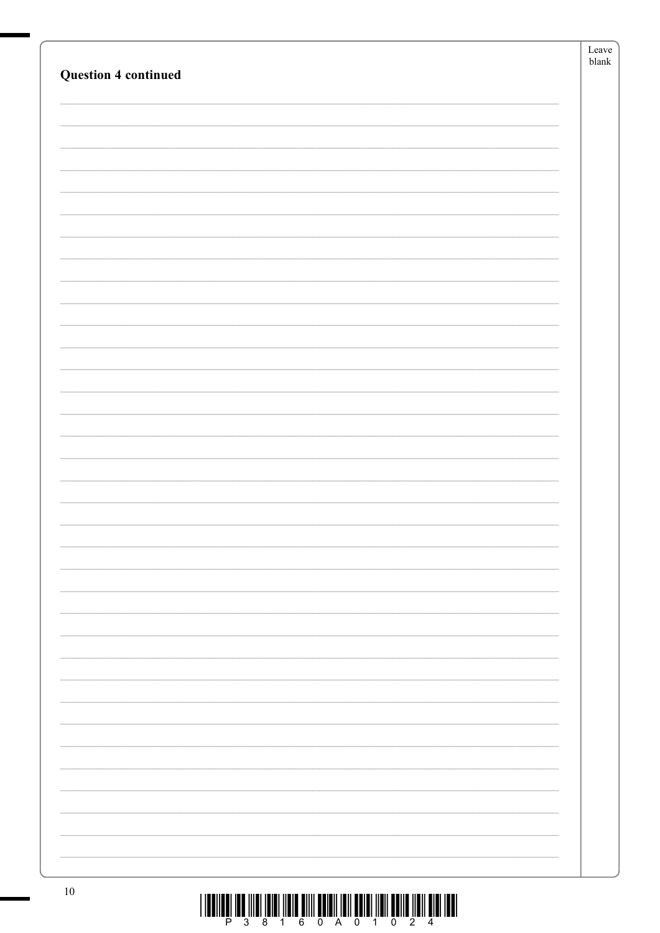|                             | ${\rm Leave}$ |
|-----------------------------|---------------|
| <b>Question 4 continued</b> | ${\sf blank}$ |
|                             |               |
|                             |               |
|                             |               |
|                             |               |
|                             |               |
|                             |               |
|                             |               |
|                             |               |
|                             |               |
|                             |               |
|                             |               |
|                             |               |
|                             |               |
|                             |               |
|                             |               |
|                             |               |
|                             |               |
|                             |               |
|                             |               |
|                             |               |
|                             |               |
|                             |               |
|                             |               |
|                             |               |
|                             |               |
|                             |               |
|                             |               |
|                             |               |
|                             |               |
|                             |               |
|                             |               |
|                             |               |
|                             |               |
|                             |               |
|                             |               |
|                             |               |
|                             |               |
|                             |               |
|                             |               |
|                             |               |
|                             |               |
|                             |               |
|                             |               |
| 10 <sup>1</sup>             |               |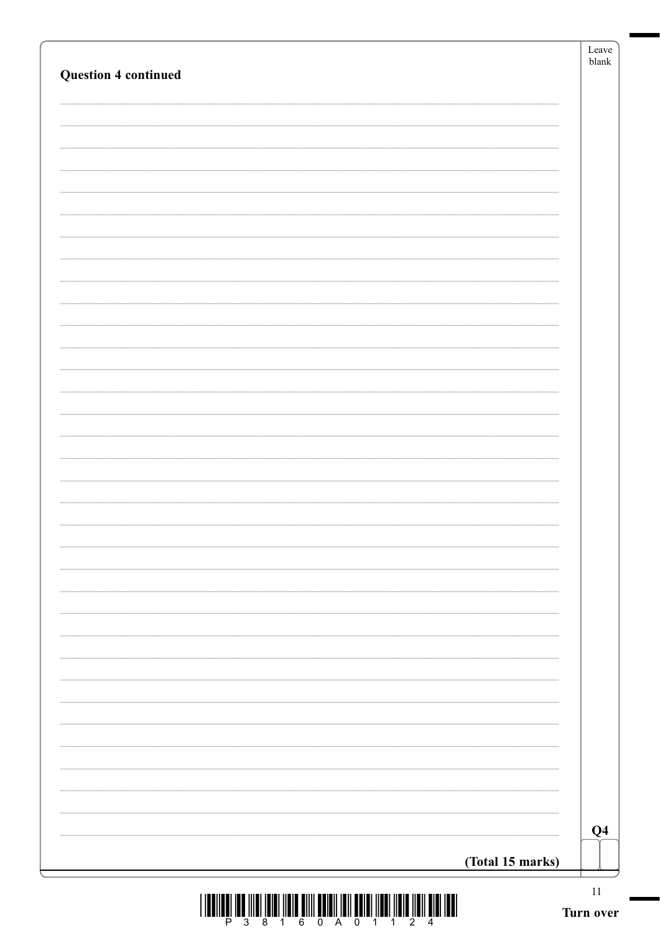|                  | Q <sub>4</sub> |
|------------------|----------------|
| (Total 15 marks) |                |

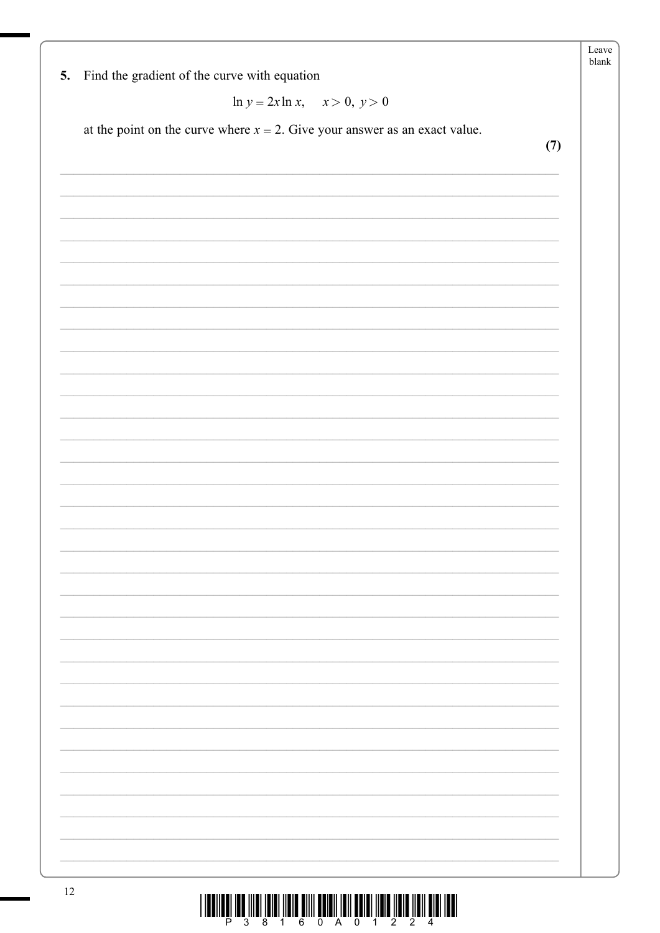| 5. | Find the gradient of the curve with equation                                  |
|----|-------------------------------------------------------------------------------|
|    | $\ln y = 2x \ln x$ , $x > 0$ , $y > 0$                                        |
|    | at the point on the curve where $x = 2$ . Give your answer as an exact value. |
|    | (7)                                                                           |
|    |                                                                               |
|    |                                                                               |
|    |                                                                               |
|    |                                                                               |
|    |                                                                               |
|    |                                                                               |
|    |                                                                               |
|    |                                                                               |
|    |                                                                               |
|    |                                                                               |
|    |                                                                               |
|    |                                                                               |
|    |                                                                               |
|    |                                                                               |
|    |                                                                               |
|    |                                                                               |
|    |                                                                               |
|    |                                                                               |
|    |                                                                               |
|    |                                                                               |
|    |                                                                               |
|    |                                                                               |
|    |                                                                               |
|    |                                                                               |
|    |                                                                               |
|    |                                                                               |
|    |                                                                               |
|    |                                                                               |
|    |                                                                               |
|    |                                                                               |

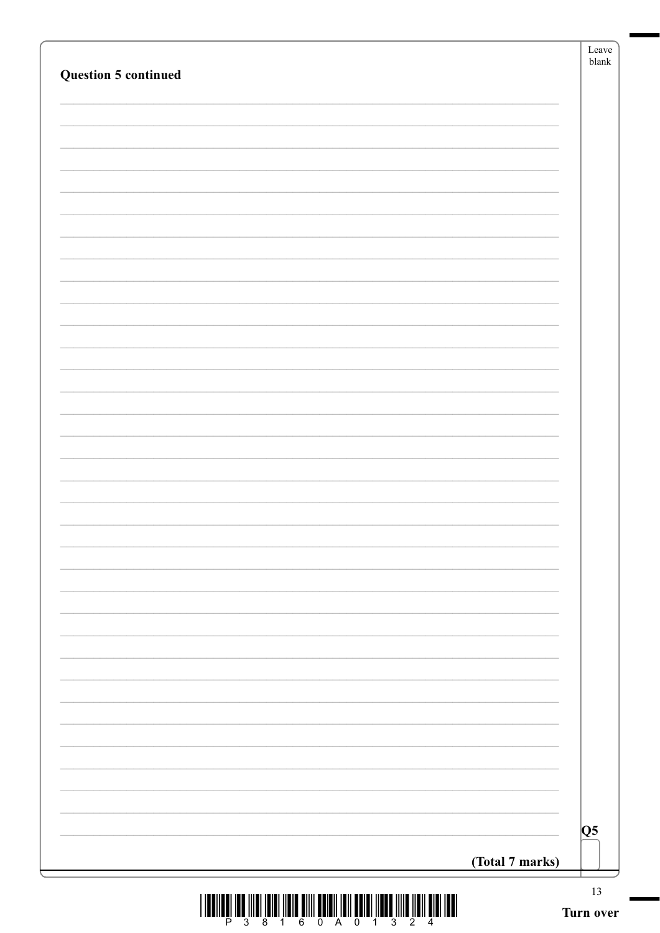| Question 5 continued |                 | $\ensuremath{\textrm{blank}}$ |
|----------------------|-----------------|-------------------------------|
|                      |                 |                               |
|                      |                 |                               |
|                      |                 |                               |
|                      |                 |                               |
|                      |                 |                               |
|                      |                 |                               |
|                      |                 |                               |
|                      |                 |                               |
|                      |                 |                               |
|                      |                 |                               |
|                      |                 |                               |
|                      |                 |                               |
|                      |                 |                               |
|                      |                 |                               |
|                      |                 |                               |
|                      |                 |                               |
|                      |                 |                               |
|                      |                 | Q5                            |
|                      | (Total 7 marks) |                               |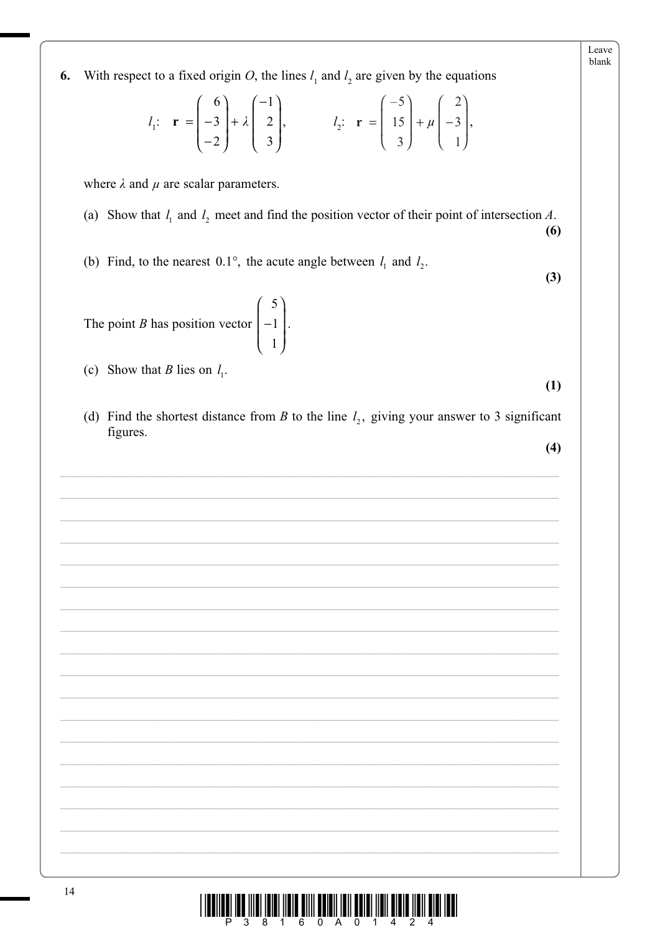| $l_1$ : $\mathbf{r} = \begin{pmatrix} 6 \\ -3 \\ -2 \end{pmatrix} + \lambda \begin{pmatrix} -1 \\ 2 \\ 3 \end{pmatrix}$ , $l_2$ : $\mathbf{r} = \begin{pmatrix} -5 \\ 15 \\ 3 \end{pmatrix} + \mu \begin{pmatrix} 2 \\ -3 \\ 1 \end{pmatrix}$ , |
|-------------------------------------------------------------------------------------------------------------------------------------------------------------------------------------------------------------------------------------------------|
| where $\lambda$ and $\mu$ are scalar parameters.                                                                                                                                                                                                |
| (a) Show that $l_1$ and $l_2$ meet and find the position vector of their point of intersection A.<br>(6)                                                                                                                                        |
| (b) Find, to the nearest 0.1°, the acute angle between $l_1$ and $l_2$ .<br>(3)                                                                                                                                                                 |
| The point <i>B</i> has position vector $\begin{bmatrix} 5 \\ -1 \\ 1 \end{bmatrix}$ .                                                                                                                                                           |
| (c) Show that <i>B</i> lies on $l_1$ .<br>(1)                                                                                                                                                                                                   |
| (d) Find the shortest distance from B to the line $l_2$ , giving your answer to 3 significant<br>figures.                                                                                                                                       |
| (4)                                                                                                                                                                                                                                             |
|                                                                                                                                                                                                                                                 |
|                                                                                                                                                                                                                                                 |
|                                                                                                                                                                                                                                                 |
|                                                                                                                                                                                                                                                 |
|                                                                                                                                                                                                                                                 |
|                                                                                                                                                                                                                                                 |
|                                                                                                                                                                                                                                                 |
|                                                                                                                                                                                                                                                 |
|                                                                                                                                                                                                                                                 |
|                                                                                                                                                                                                                                                 |
|                                                                                                                                                                                                                                                 |
| 14<br><u>i ibulibul ibu ilibi ibibi ibib ulli bului ibil bului ildi. Dibib ildi ildi bibi bibi ildi ibu</u>                                                                                                                                     |

With respect to a fixed origin O, the lines  $l_1$  and  $l_2$  are given by the equations

6.

Leave blank

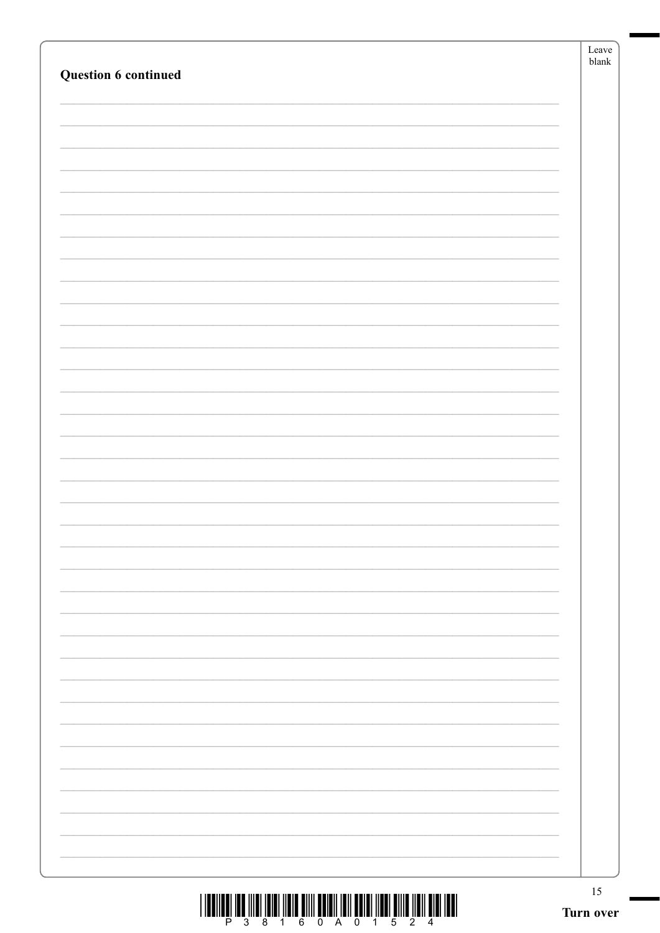| Question 6 continued | Leave<br>${\tt blank}$ |
|----------------------|------------------------|
|                      |                        |
|                      |                        |
|                      |                        |
|                      |                        |
|                      |                        |
|                      |                        |
|                      |                        |
|                      |                        |
|                      |                        |
|                      |                        |
|                      |                        |
|                      |                        |
|                      |                        |
|                      |                        |
|                      |                        |
|                      |                        |
|                      |                        |
|                      |                        |
|                      |                        |
|                      |                        |
|                      |                        |
|                      |                        |
|                      |                        |
|                      |                        |
|                      |                        |
|                      |                        |
|                      | 15<br>Turn over        |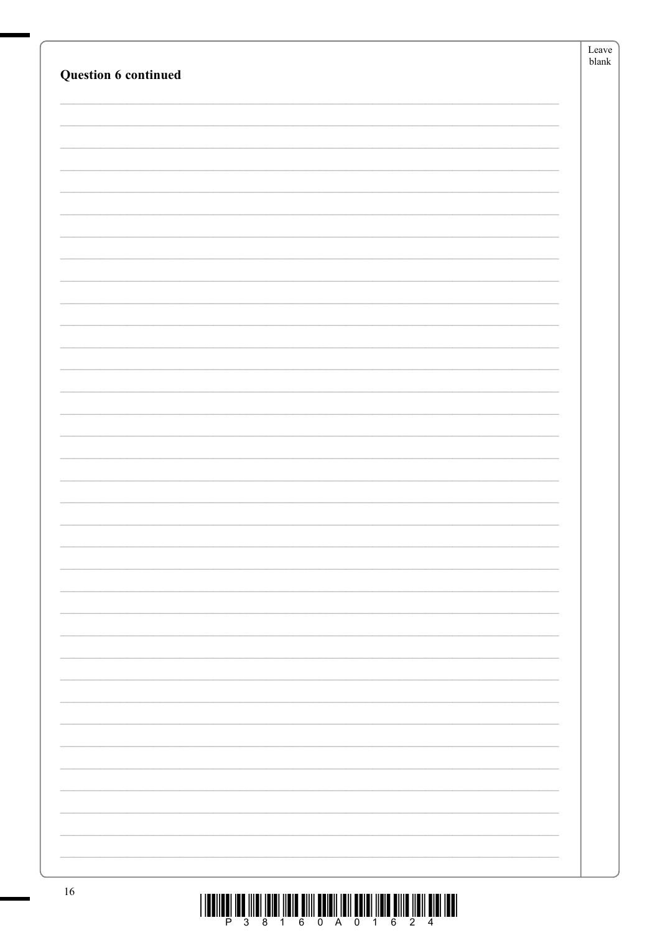|                             | ${\it Leave}$ |
|-----------------------------|---------------|
|                             | ${\sf blank}$ |
| <b>Question 6 continued</b> |               |
|                             |               |
|                             |               |
|                             |               |
|                             |               |
|                             |               |
|                             |               |
|                             |               |
|                             |               |
|                             |               |
|                             |               |
|                             |               |
|                             |               |
|                             |               |
|                             |               |
|                             |               |
|                             |               |
|                             |               |
|                             |               |
|                             |               |
|                             |               |
|                             |               |
|                             |               |
|                             |               |
|                             |               |
|                             |               |
|                             |               |
|                             |               |
|                             |               |
|                             |               |
|                             |               |
|                             |               |
|                             |               |
|                             |               |
|                             |               |
|                             |               |
|                             |               |
|                             |               |
|                             |               |
|                             |               |
|                             |               |
|                             |               |
|                             |               |
|                             |               |
|                             |               |
|                             |               |
|                             |               |
|                             |               |
| 16                          |               |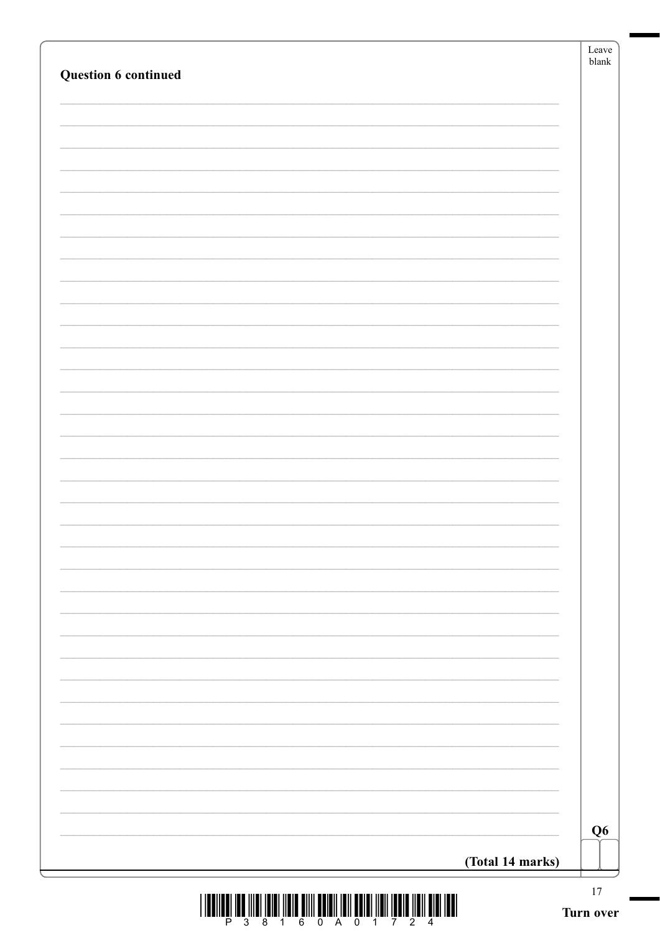| Question 6 continued |                  | Leave<br>${\sf blank}$ |
|----------------------|------------------|------------------------|
|                      |                  |                        |
|                      |                  |                        |
|                      |                  |                        |
|                      |                  |                        |
|                      |                  |                        |
|                      |                  |                        |
|                      |                  |                        |
|                      |                  |                        |
|                      |                  |                        |
|                      |                  |                        |
|                      |                  |                        |
|                      |                  |                        |
|                      |                  |                        |
|                      |                  |                        |
|                      |                  |                        |
|                      |                  |                        |
|                      |                  |                        |
|                      |                  |                        |
|                      |                  |                        |
|                      |                  |                        |
|                      |                  |                        |
|                      |                  |                        |
|                      |                  |                        |
|                      |                  |                        |
|                      |                  |                        |
|                      |                  | Q <sub>6</sub>         |
|                      | (Total 14 marks) |                        |

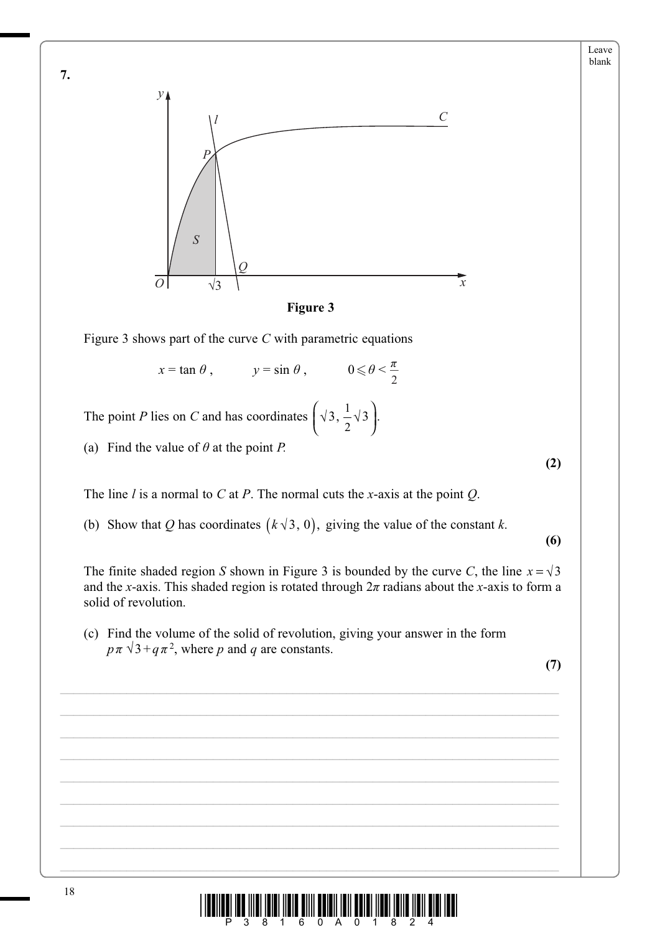



Figure 3 shows part of the curve *C* with parametric equations

 $x = \tan \theta$ ,  $y = \sin \theta$ ,  $0 \le \theta < \theta$ 2 *ʌ*

The point *P* lies on *C* and has coordinates  $(\sqrt{3}, \frac{1}{2}\sqrt{3})$ .

(a) Find the value of  $\theta$  at the point *P*.

The line *l* is a normal to *C* at *P*. The normal cuts the *x*-axis at the point *Q*.

(b) Show that *Q* has coordinates  $(k \sqrt{3}, 0)$ , giving the value of the constant *k*.

**(6)**

**(2)**

The finite shaded region *S* shown in Figure 3 is bounded by the curve *C*, the line  $x = \sqrt{3}$ and the *x*-axis. This shaded region is rotated through  $2\pi$  radians about the *x*-axis to form a solid of revolution.

 (c) Find the volume of the solid of revolution, giving your answer in the form  $p \pi \sqrt{3} + q \pi^2$ , where *p* and *q* are constants.

 $\mathcal{L}_\mathcal{L} = \{ \mathcal{L}_\mathcal{L} = \{ \mathcal{L}_\mathcal{L} = \{ \mathcal{L}_\mathcal{L} = \{ \mathcal{L}_\mathcal{L} = \{ \mathcal{L}_\mathcal{L} = \{ \mathcal{L}_\mathcal{L} = \{ \mathcal{L}_\mathcal{L} = \{ \mathcal{L}_\mathcal{L} = \{ \mathcal{L}_\mathcal{L} = \{ \mathcal{L}_\mathcal{L} = \{ \mathcal{L}_\mathcal{L} = \{ \mathcal{L}_\mathcal{L} = \{ \mathcal{L}_\mathcal{L} = \{ \mathcal{L}_\mathcal{$ 

 $\mathcal{L}_\mathcal{L} = \{ \mathcal{L}_\mathcal{L} = \{ \mathcal{L}_\mathcal{L} = \{ \mathcal{L}_\mathcal{L} = \{ \mathcal{L}_\mathcal{L} = \{ \mathcal{L}_\mathcal{L} = \{ \mathcal{L}_\mathcal{L} = \{ \mathcal{L}_\mathcal{L} = \{ \mathcal{L}_\mathcal{L} = \{ \mathcal{L}_\mathcal{L} = \{ \mathcal{L}_\mathcal{L} = \{ \mathcal{L}_\mathcal{L} = \{ \mathcal{L}_\mathcal{L} = \{ \mathcal{L}_\mathcal{L} = \{ \mathcal{L}_\mathcal{$ 

 $\mathcal{L}_\mathcal{L} = \{ \mathcal{L}_\mathcal{L} = \{ \mathcal{L}_\mathcal{L} = \{ \mathcal{L}_\mathcal{L} = \{ \mathcal{L}_\mathcal{L} = \{ \mathcal{L}_\mathcal{L} = \{ \mathcal{L}_\mathcal{L} = \{ \mathcal{L}_\mathcal{L} = \{ \mathcal{L}_\mathcal{L} = \{ \mathcal{L}_\mathcal{L} = \{ \mathcal{L}_\mathcal{L} = \{ \mathcal{L}_\mathcal{L} = \{ \mathcal{L}_\mathcal{L} = \{ \mathcal{L}_\mathcal{L} = \{ \mathcal{L}_\mathcal{$ 

 $\mathcal{L}_\mathcal{L} = \{ \mathcal{L}_\mathcal{L} = \{ \mathcal{L}_\mathcal{L} = \{ \mathcal{L}_\mathcal{L} = \{ \mathcal{L}_\mathcal{L} = \{ \mathcal{L}_\mathcal{L} = \{ \mathcal{L}_\mathcal{L} = \{ \mathcal{L}_\mathcal{L} = \{ \mathcal{L}_\mathcal{L} = \{ \mathcal{L}_\mathcal{L} = \{ \mathcal{L}_\mathcal{L} = \{ \mathcal{L}_\mathcal{L} = \{ \mathcal{L}_\mathcal{L} = \{ \mathcal{L}_\mathcal{L} = \{ \mathcal{L}_\mathcal{$ 

 $\mathcal{L}_\mathcal{L} = \{ \mathcal{L}_\mathcal{L} = \{ \mathcal{L}_\mathcal{L} = \{ \mathcal{L}_\mathcal{L} = \{ \mathcal{L}_\mathcal{L} = \{ \mathcal{L}_\mathcal{L} = \{ \mathcal{L}_\mathcal{L} = \{ \mathcal{L}_\mathcal{L} = \{ \mathcal{L}_\mathcal{L} = \{ \mathcal{L}_\mathcal{L} = \{ \mathcal{L}_\mathcal{L} = \{ \mathcal{L}_\mathcal{L} = \{ \mathcal{L}_\mathcal{L} = \{ \mathcal{L}_\mathcal{L} = \{ \mathcal{L}_\mathcal{$ 

 $\mathcal{L}_\mathcal{L} = \{ \mathcal{L}_\mathcal{L} = \{ \mathcal{L}_\mathcal{L} = \{ \mathcal{L}_\mathcal{L} = \{ \mathcal{L}_\mathcal{L} = \{ \mathcal{L}_\mathcal{L} = \{ \mathcal{L}_\mathcal{L} = \{ \mathcal{L}_\mathcal{L} = \{ \mathcal{L}_\mathcal{L} = \{ \mathcal{L}_\mathcal{L} = \{ \mathcal{L}_\mathcal{L} = \{ \mathcal{L}_\mathcal{L} = \{ \mathcal{L}_\mathcal{L} = \{ \mathcal{L}_\mathcal{L} = \{ \mathcal{L}_\mathcal{$ 

\_\_\_\_\_\_\_\_\_\_\_\_\_\_\_\_\_\_\_\_\_\_\_\_\_\_\_\_\_\_\_\_\_\_\_\_\_\_\_\_\_\_\_\_\_\_\_\_\_\_\_\_\_\_\_\_\_\_\_\_\_\_\_\_\_\_\_\_\_\_\_\_\_\_\_

**(7)**



**7.**

Leave blank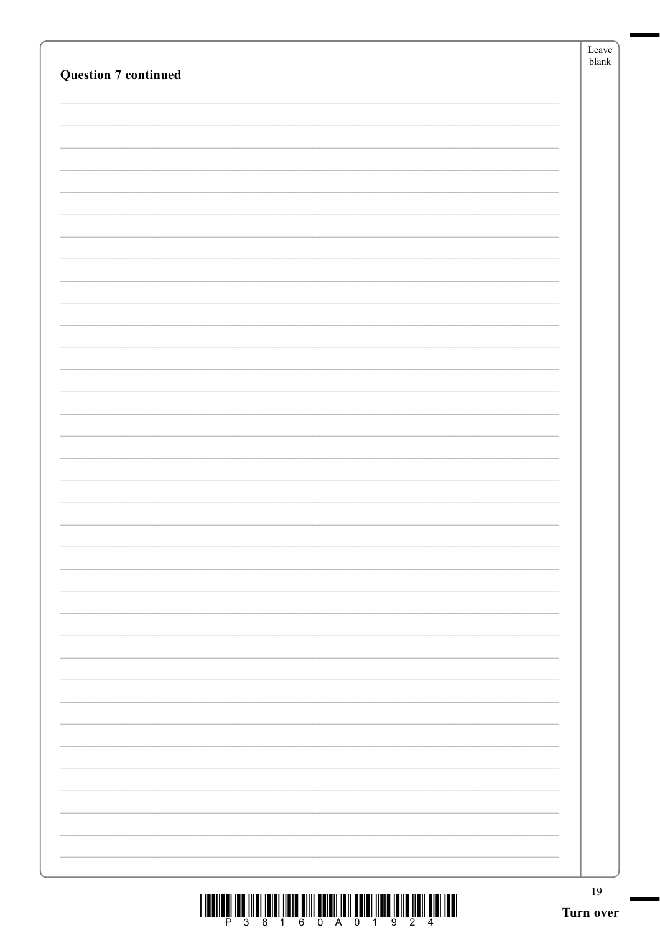| <b>Question 7 continued</b> | Leave<br>$b$ lank |
|-----------------------------|-------------------|
|                             |                   |
|                             |                   |
|                             |                   |
|                             |                   |
|                             |                   |
|                             |                   |
|                             |                   |
|                             |                   |
|                             |                   |
|                             |                   |
|                             |                   |
|                             |                   |
|                             |                   |
|                             |                   |
|                             |                   |
|                             |                   |
|                             |                   |
|                             |                   |
|                             |                   |
|                             |                   |
|                             |                   |
|                             |                   |
|                             |                   |
|                             |                   |
|                             |                   |
|                             |                   |
|                             |                   |
|                             |                   |
|                             |                   |
|                             |                   |
|                             | 19                |
|                             | Turn over         |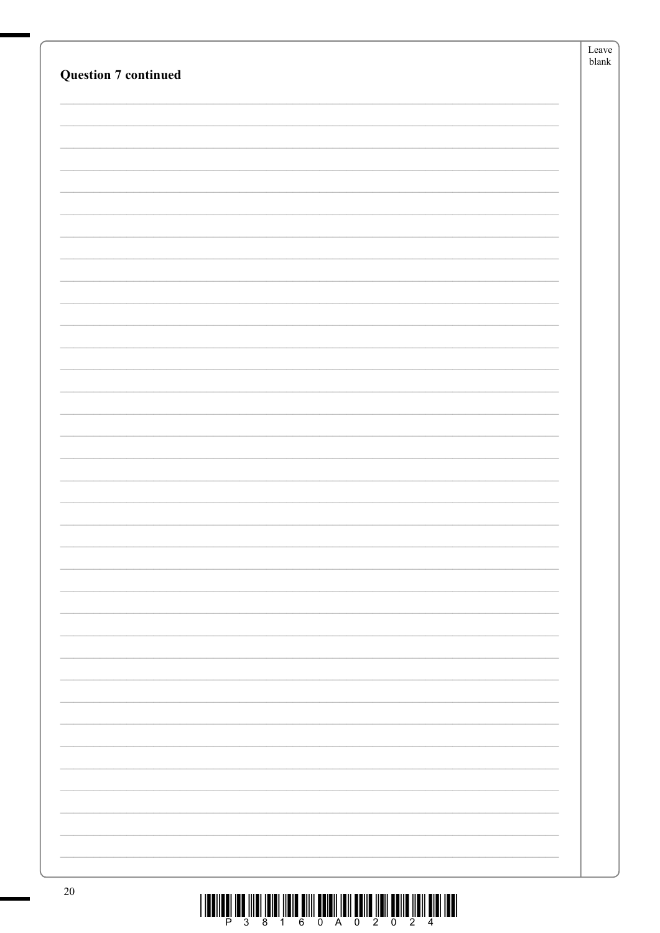|                             | Leave         |
|-----------------------------|---------------|
| <b>Question 7 continued</b> | ${\tt blank}$ |
|                             |               |
|                             |               |
|                             |               |
|                             |               |
|                             |               |
|                             |               |
|                             |               |
|                             |               |
|                             |               |
|                             |               |
|                             |               |
|                             |               |
|                             |               |
|                             |               |
|                             |               |
|                             |               |
|                             |               |
|                             |               |
|                             |               |
|                             |               |
|                             |               |
|                             |               |
|                             |               |
|                             |               |
|                             |               |
|                             |               |
|                             |               |
|                             |               |
|                             |               |
|                             |               |
|                             |               |
|                             |               |
|                             |               |
|                             |               |
|                             |               |
|                             |               |
|                             |               |
|                             |               |
|                             |               |
|                             |               |
|                             |               |
| $20^{\circ}$                |               |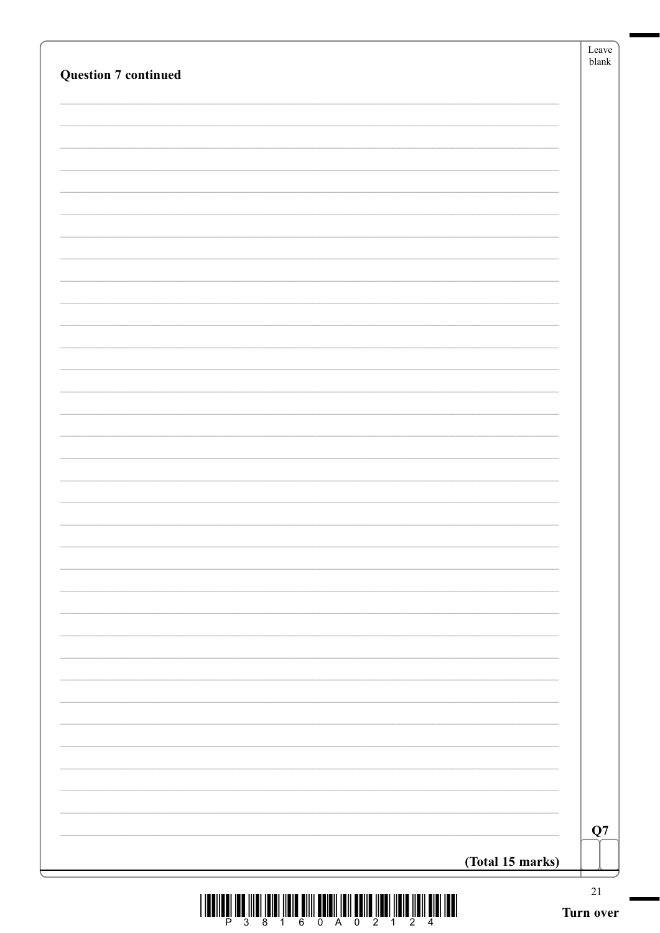| <b>Question 7 continued</b> |                  | Leave<br>blank |
|-----------------------------|------------------|----------------|
|                             |                  |                |
|                             |                  |                |
|                             |                  |                |
|                             |                  |                |
|                             |                  |                |
|                             |                  |                |
|                             |                  |                |
|                             |                  |                |
|                             |                  |                |
|                             |                  |                |
|                             |                  |                |
|                             |                  |                |
|                             |                  |                |
|                             |                  |                |
|                             |                  |                |
|                             |                  |                |
|                             |                  |                |
|                             |                  |                |
|                             |                  |                |
|                             |                  |                |
|                             |                  |                |
|                             |                  |                |
|                             |                  |                |
|                             |                  |                |
|                             |                  |                |
|                             |                  |                |
|                             |                  |                |
|                             |                  | Q7             |
|                             | (Total 15 marks) |                |
|                             |                  | $21\,$         |

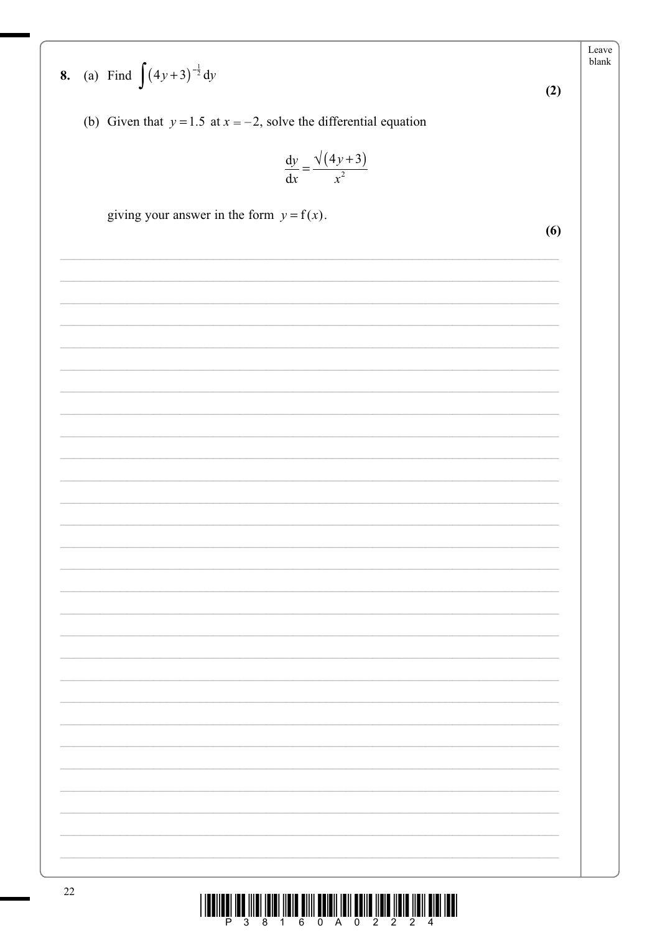Leave blank **8.** (a) Find  $\int (4y+3)^{-\frac{1}{2}} dy$  $(2)$ (b) Given that  $y = 1.5$  at  $x = -2$ , solve the differential equation  $\frac{dy}{dx} = \frac{\sqrt{(4y+3)}}{x^2}$ giving your answer in the form  $y = f(x)$ .  $(6)$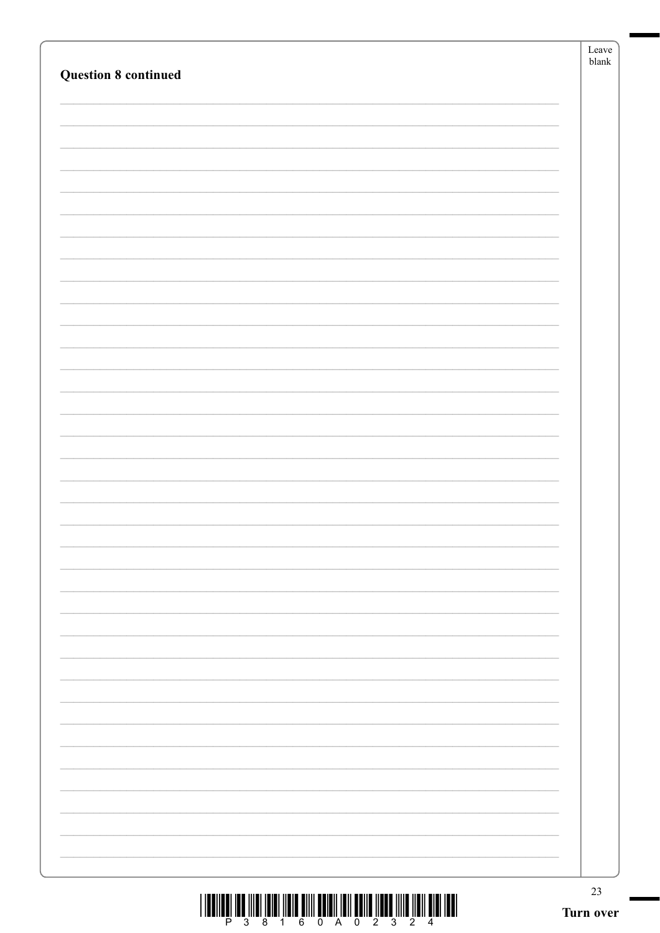| <b>Question 8 continued</b>                                                                                                                                                                                                                                                                                                                                                                                                                                   | Leave<br>$b$ lank |
|---------------------------------------------------------------------------------------------------------------------------------------------------------------------------------------------------------------------------------------------------------------------------------------------------------------------------------------------------------------------------------------------------------------------------------------------------------------|-------------------|
|                                                                                                                                                                                                                                                                                                                                                                                                                                                               |                   |
| $\begin{array}{c} \text{if} \ \text{if} \ \text{if} \ \text{if} \ \text{if} \ \text{if} \ \text{if} \ \text{if} \ \text{if} \ \text{if} \ \text{if} \ \text{if} \ \text{if} \ \text{if} \ \text{if} \ \text{if} \ \text{if} \ \text{if} \ \text{if} \ \text{if} \ \text{if} \ \text{if} \ \text{if} \ \text{if} \ \text{if} \ \text{if} \ \text{if} \ \text{if} \ \text{if} \ \text{if} \ \text{if} \ \text{if} \ \text{if} \ \text{if} \ \text{if} \ \text{$ | 23<br>Turn over   |